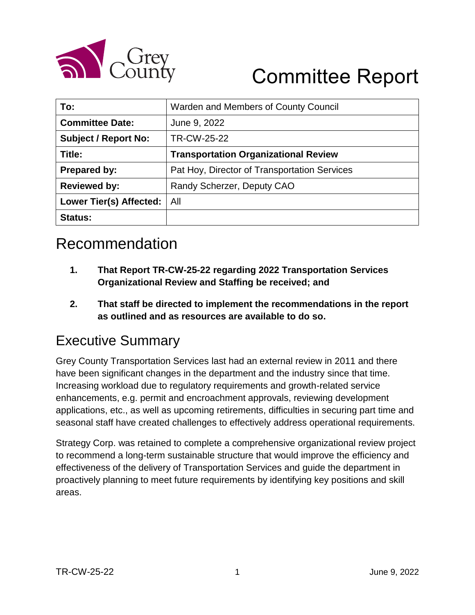

# Committee Report

| To:                            | Warden and Members of County Council         |  |  |  |
|--------------------------------|----------------------------------------------|--|--|--|
| <b>Committee Date:</b>         | June 9, 2022                                 |  |  |  |
| <b>Subject / Report No:</b>    | TR-CW-25-22                                  |  |  |  |
| Title:                         | <b>Transportation Organizational Review</b>  |  |  |  |
| <b>Prepared by:</b>            | Pat Hoy, Director of Transportation Services |  |  |  |
| <b>Reviewed by:</b>            | Randy Scherzer, Deputy CAO                   |  |  |  |
| <b>Lower Tier(s) Affected:</b> | All                                          |  |  |  |
| <b>Status:</b>                 |                                              |  |  |  |

# Recommendation

- **1. That Report TR-CW-25-22 regarding 2022 Transportation Services Organizational Review and Staffing be received; and**
- **2. That staff be directed to implement the recommendations in the report as outlined and as resources are available to do so.**

### Executive Summary

Grey County Transportation Services last had an external review in 2011 and there have been significant changes in the department and the industry since that time. Increasing workload due to regulatory requirements and growth-related service enhancements, e.g. permit and encroachment approvals, reviewing development applications, etc., as well as upcoming retirements, difficulties in securing part time and seasonal staff have created challenges to effectively address operational requirements.

Strategy Corp. was retained to complete a comprehensive organizational review project to recommend a long-term sustainable structure that would improve the efficiency and effectiveness of the delivery of Transportation Services and guide the department in proactively planning to meet future requirements by identifying key positions and skill areas.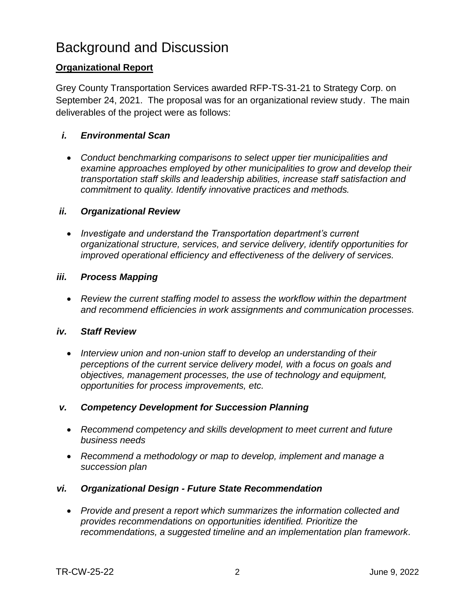### Background and Discussion

#### **Organizational Report**

Grey County Transportation Services awarded RFP-TS-31-21 to Strategy Corp. on September 24, 2021. The proposal was for an organizational review study. The main deliverables of the project were as follows:

#### *i. Environmental Scan*

 *Conduct benchmarking comparisons to select upper tier municipalities and examine approaches employed by other municipalities to grow and develop their transportation staff skills and leadership abilities, increase staff satisfaction and commitment to quality. Identify innovative practices and methods.* 

#### *ii. Organizational Review*

 *Investigate and understand the Transportation department's current organizational structure, services, and service delivery, identify opportunities for improved operational efficiency and effectiveness of the delivery of services.*

#### *iii. Process Mapping*

 *Review the current staffing model to assess the workflow within the department and recommend efficiencies in work assignments and communication processes.*

#### *iv. Staff Review*

 *Interview union and non-union staff to develop an understanding of their perceptions of the current service delivery model, with a focus on goals and objectives, management processes, the use of technology and equipment, opportunities for process improvements, etc.*

#### *v. Competency Development for Succession Planning*

- *Recommend competency and skills development to meet current and future business needs*
- *Recommend a methodology or map to develop, implement and manage a succession plan*

#### *vi. Organizational Design - Future State Recommendation*

 *Provide and present a report which summarizes the information collected and provides recommendations on opportunities identified. Prioritize the recommendations, a suggested timeline and an implementation plan framework.*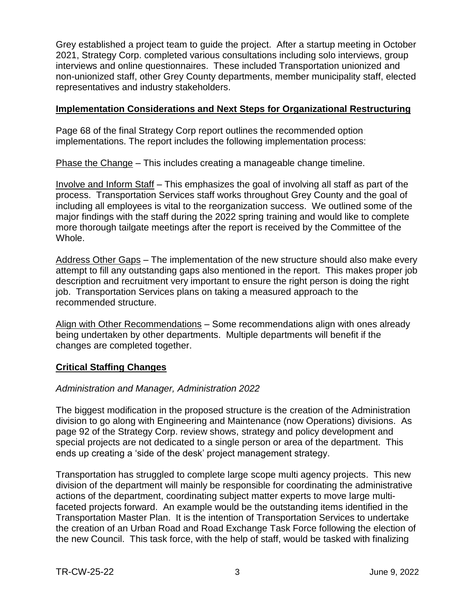Grey established a project team to guide the project. After a startup meeting in October 2021, Strategy Corp. completed various consultations including solo interviews, group interviews and online questionnaires. These included Transportation unionized and non-unionized staff, other Grey County departments, member municipality staff, elected representatives and industry stakeholders.

#### **Implementation Considerations and Next Steps for Organizational Restructuring**

Page 68 of the final Strategy Corp report outlines the recommended option implementations. The report includes the following implementation process:

Phase the Change – This includes creating a manageable change timeline.

Involve and Inform Staff – This emphasizes the goal of involving all staff as part of the process. Transportation Services staff works throughout Grey County and the goal of including all employees is vital to the reorganization success. We outlined some of the major findings with the staff during the 2022 spring training and would like to complete more thorough tailgate meetings after the report is received by the Committee of the Whole.

Address Other Gaps – The implementation of the new structure should also make every attempt to fill any outstanding gaps also mentioned in the report. This makes proper job description and recruitment very important to ensure the right person is doing the right job. Transportation Services plans on taking a measured approach to the recommended structure.

Align with Other Recommendations – Some recommendations align with ones already being undertaken by other departments. Multiple departments will benefit if the changes are completed together.

#### **Critical Staffing Changes**

#### *Administration and Manager, Administration 2022*

The biggest modification in the proposed structure is the creation of the Administration division to go along with Engineering and Maintenance (now Operations) divisions. As page 92 of the Strategy Corp. review shows, strategy and policy development and special projects are not dedicated to a single person or area of the department. This ends up creating a 'side of the desk' project management strategy.

Transportation has struggled to complete large scope multi agency projects. This new division of the department will mainly be responsible for coordinating the administrative actions of the department, coordinating subject matter experts to move large multifaceted projects forward. An example would be the outstanding items identified in the Transportation Master Plan. It is the intention of Transportation Services to undertake the creation of an Urban Road and Road Exchange Task Force following the election of the new Council. This task force, with the help of staff, would be tasked with finalizing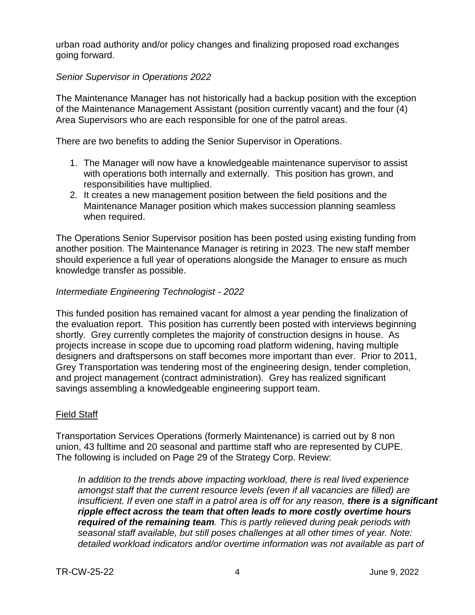urban road authority and/or policy changes and finalizing proposed road exchanges going forward.

#### *Senior Supervisor in Operations 2022*

The Maintenance Manager has not historically had a backup position with the exception of the Maintenance Management Assistant (position currently vacant) and the four (4) Area Supervisors who are each responsible for one of the patrol areas.

There are two benefits to adding the Senior Supervisor in Operations.

- 1. The Manager will now have a knowledgeable maintenance supervisor to assist with operations both internally and externally. This position has grown, and responsibilities have multiplied.
- 2. It creates a new management position between the field positions and the Maintenance Manager position which makes succession planning seamless when required.

The Operations Senior Supervisor position has been posted using existing funding from another position. The Maintenance Manager is retiring in 2023. The new staff member should experience a full year of operations alongside the Manager to ensure as much knowledge transfer as possible.

#### *Intermediate Engineering Technologist - 2022*

This funded position has remained vacant for almost a year pending the finalization of the evaluation report. This position has currently been posted with interviews beginning shortly. Grey currently completes the majority of construction designs in house. As projects increase in scope due to upcoming road platform widening, having multiple designers and draftspersons on staff becomes more important than ever. Prior to 2011, Grey Transportation was tendering most of the engineering design, tender completion, and project management (contract administration). Grey has realized significant savings assembling a knowledgeable engineering support team.

#### Field Staff

Transportation Services Operations (formerly Maintenance) is carried out by 8 non union, 43 fulltime and 20 seasonal and parttime staff who are represented by CUPE. The following is included on Page 29 of the Strategy Corp. Review:

*In addition to the trends above impacting workload, there is real lived experience amongst staff that the current resource levels (even if all vacancies are filled) are insufficient. If even one staff in a patrol area is off for any reason, there is a significant ripple effect across the team that often leads to more costly overtime hours required of the remaining team. This is partly relieved during peak periods with seasonal staff available, but still poses challenges at all other times of year. Note: detailed workload indicators and/or overtime information was not available as part of*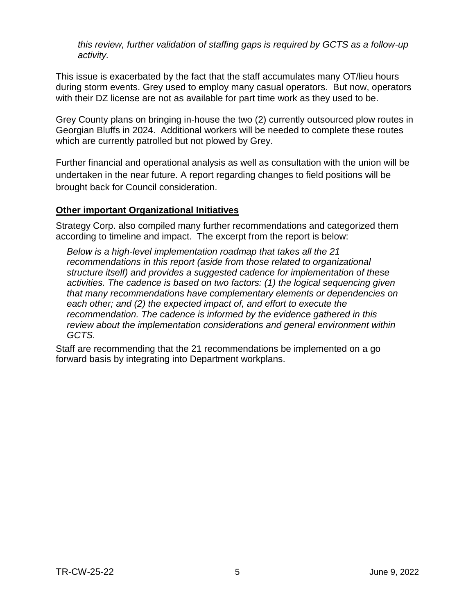*this review, further validation of staffing gaps is required by GCTS as a follow-up activity.*

This issue is exacerbated by the fact that the staff accumulates many OT/lieu hours during storm events. Grey used to employ many casual operators. But now, operators with their DZ license are not as available for part time work as they used to be.

Grey County plans on bringing in-house the two (2) currently outsourced plow routes in Georgian Bluffs in 2024. Additional workers will be needed to complete these routes which are currently patrolled but not plowed by Grey.

Further financial and operational analysis as well as consultation with the union will be undertaken in the near future. A report regarding changes to field positions will be brought back for Council consideration.

#### **Other important Organizational Initiatives**

Strategy Corp. also compiled many further recommendations and categorized them according to timeline and impact. The excerpt from the report is below:

*Below is a high-level implementation roadmap that takes all the 21 recommendations in this report (aside from those related to organizational structure itself) and provides a suggested cadence for implementation of these activities. The cadence is based on two factors: (1) the logical sequencing given that many recommendations have complementary elements or dependencies on each other; and (2) the expected impact of, and effort to execute the recommendation. The cadence is informed by the evidence gathered in this review about the implementation considerations and general environment within GCTS.*

Staff are recommending that the 21 recommendations be implemented on a go forward basis by integrating into Department workplans.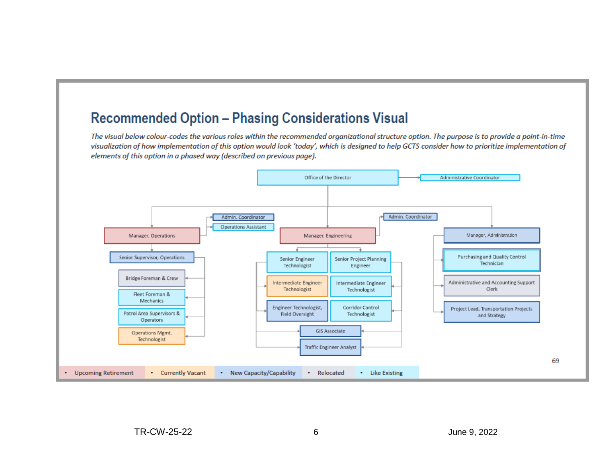### **Recommended Option - Phasing Considerations Visual**

The visual below colour-codes the various roles within the recommended organizational structure option. The purpose is to provide a point-in-time visualization of how implementation of this option would look 'today', which is designed to help GCTS consider how to prioritize implementation of elements of this option in a phased way (described on previous page).

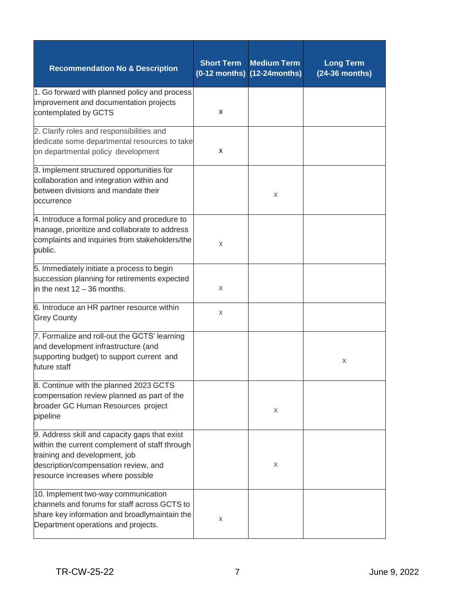| <b>Recommendation No &amp; Description</b>                                                                                                                                                                    | <b>Short Term</b> | <b>Medium Term</b><br>$(0-12$ months) $(12-24$ months) | <b>Long Term</b><br>(24-36 months) |
|---------------------------------------------------------------------------------------------------------------------------------------------------------------------------------------------------------------|-------------------|--------------------------------------------------------|------------------------------------|
| 1. Go forward with planned policy and process<br>improvement and documentation projects<br>contemplated by GCTS                                                                                               | x                 |                                                        |                                    |
| 2. Clarify roles and responsibilities and<br>dedicate some departmental resources to take<br>on departmental policy development                                                                               | x                 |                                                        |                                    |
| 3. Implement structured opportunities for<br>collaboration and integration within and<br>between divisions and mandate their<br>occurrence                                                                    |                   | X                                                      |                                    |
| 4. Introduce a formal policy and procedure to<br>manage, prioritize and collaborate to address<br>complaints and inquiries from stakeholders/the<br>public.                                                   | X                 |                                                        |                                    |
| 5. Immediately initiate a process to begin<br>succession planning for retirements expected<br>in the next 12 - 36 months.                                                                                     | Χ                 |                                                        |                                    |
| 6. Introduce an HR partner resource within<br><b>Grey County</b>                                                                                                                                              | X                 |                                                        |                                    |
| 7. Formalize and roll-out the GCTS' learning<br>and development infrastructure (and<br>supporting budget) to support current and<br>future staff                                                              |                   |                                                        | Х                                  |
| 8. Continue with the planned 2023 GCTS<br>compensation review planned as part of the<br>broader GC Human Resources project<br>pipeline                                                                        |                   | X                                                      |                                    |
| 9. Address skill and capacity gaps that exist<br>within the current complement of staff through<br>training and development, job<br>description/compensation review, and<br>resource increases where possible |                   | X                                                      |                                    |
| 10. Implement two-way communication<br>channels and forums for staff across GCTS to<br>share key information and broadlymaintain the<br>Department operations and projects.                                   | Χ                 |                                                        |                                    |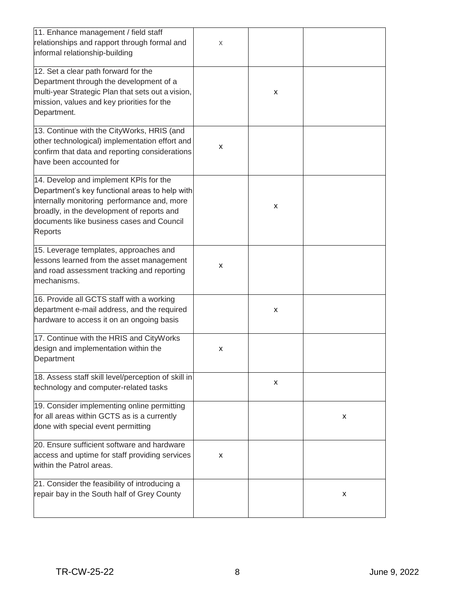| 11. Enhance management / field staff<br>relationships and rapport through formal and<br>informal relationship-building                                                                                                                               | X |   |   |
|------------------------------------------------------------------------------------------------------------------------------------------------------------------------------------------------------------------------------------------------------|---|---|---|
| 12. Set a clear path forward for the<br>Department through the development of a<br>multi-year Strategic Plan that sets out a vision,<br>mission, values and key priorities for the<br>Department.                                                    |   | x |   |
| 13. Continue with the CityWorks, HRIS (and<br>other technological) implementation effort and<br>confirm that data and reporting considerations<br>have been accounted for                                                                            | x |   |   |
| 14. Develop and implement KPIs for the<br>Department's key functional areas to help with<br>internally monitoring performance and, more<br>broadly, in the development of reports and<br>documents like business cases and Council<br><b>Reports</b> |   | x |   |
| 15. Leverage templates, approaches and<br>lessons learned from the asset management<br>and road assessment tracking and reporting<br>mechanisms.                                                                                                     | x |   |   |
| 16. Provide all GCTS staff with a working<br>department e-mail address, and the required<br>hardware to access it on an ongoing basis                                                                                                                |   | x |   |
| 17. Continue with the HRIS and CityWorks<br>design and implementation within the<br>Department                                                                                                                                                       | x |   |   |
| 18. Assess staff skill level/perception of skill in<br>technology and computer-related tasks                                                                                                                                                         |   | x |   |
| 19. Consider implementing online permitting<br>for all areas within GCTS as is a currently<br>done with special event permitting                                                                                                                     |   |   | х |
| 20. Ensure sufficient software and hardware<br>access and uptime for staff providing services<br>within the Patrol areas.                                                                                                                            | x |   |   |
| 21. Consider the feasibility of introducing a<br>repair bay in the South half of Grey County                                                                                                                                                         |   |   | x |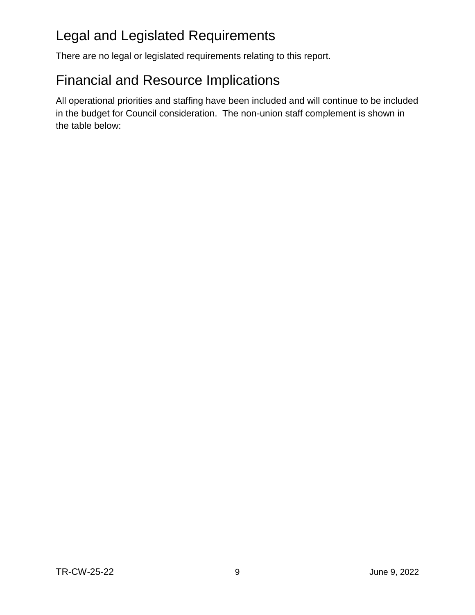# Legal and Legislated Requirements

There are no legal or legislated requirements relating to this report.

# Financial and Resource Implications

All operational priorities and staffing have been included and will continue to be included in the budget for Council consideration. The non-union staff complement is shown in the table below: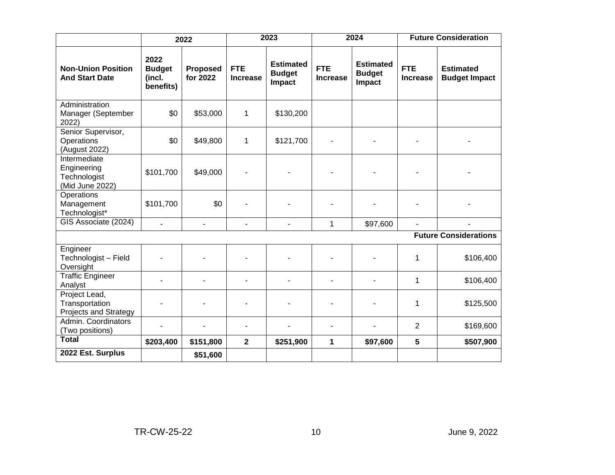|                                                                | 2022                                         |                             | 2023                          |                                             | 2024                          |                                             | <b>Future Consideration</b>   |                                          |
|----------------------------------------------------------------|----------------------------------------------|-----------------------------|-------------------------------|---------------------------------------------|-------------------------------|---------------------------------------------|-------------------------------|------------------------------------------|
| <b>Non-Union Position</b><br><b>And Start Date</b>             | 2022<br><b>Budget</b><br>(incl.<br>benefits) | <b>Proposed</b><br>for 2022 | <b>FTE</b><br><b>Increase</b> | <b>Estimated</b><br><b>Budget</b><br>Impact | <b>FTE</b><br><b>Increase</b> | <b>Estimated</b><br><b>Budget</b><br>Impact | <b>FTE</b><br><b>Increase</b> | <b>Estimated</b><br><b>Budget Impact</b> |
| Administration<br>Manager (September<br>2022)                  | \$0                                          | \$53,000                    | 1                             | \$130,200                                   |                               |                                             |                               |                                          |
| Senior Supervisor,<br>Operations<br>(August 2022)              | \$0                                          | \$49,800                    | 1                             | \$121,700                                   |                               |                                             |                               |                                          |
| Intermediate<br>Engineering<br>Technologist<br>(Mid June 2022) | \$101,700                                    | \$49,000                    |                               |                                             |                               |                                             |                               |                                          |
| Operations<br>Management<br>Technologist*                      | \$101,700                                    | \$0                         |                               |                                             |                               |                                             |                               |                                          |
| GIS Associate (2024)                                           |                                              | $\blacksquare$              | $\blacksquare$                | $\blacksquare$                              | $\mathbf{1}$                  | \$97,600                                    |                               |                                          |
|                                                                |                                              |                             |                               |                                             |                               |                                             |                               | <b>Future Considerations</b>             |
| Engineer<br>Technologist - Field<br>Oversight                  |                                              |                             |                               |                                             | ۰                             |                                             | 1                             | \$106,400                                |
| <b>Traffic Engineer</b><br>Analyst                             |                                              |                             |                               | ٠                                           |                               |                                             | 1                             | \$106,400                                |
| Project Lead,<br>Transportation<br>Projects and Strategy       |                                              |                             |                               |                                             |                               |                                             | 1                             | \$125,500                                |
| Admin. Coordinators<br>(Two positions)                         |                                              | $\blacksquare$              |                               |                                             | ۰                             |                                             | $\overline{2}$                | \$169,600                                |
| <b>Total</b>                                                   | \$203,400                                    | \$151,800                   | $\mathbf{2}$                  | \$251,900                                   | 1                             | \$97,600                                    | $5\phantom{1}$                | \$507,900                                |
| 2022 Est. Surplus                                              |                                              | \$51,600                    |                               |                                             |                               |                                             |                               |                                          |